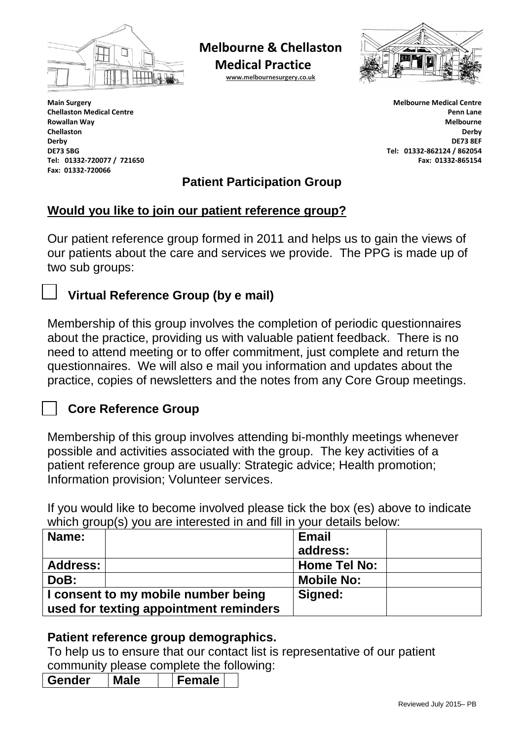

**Melbourne & Chellaston** 

**Medical Practice**

**[www.melbournesurgery.co.uk](http://www.melbournesurgery.co.uk/)**



**Main Surgery Chellaston Medical Centre Rowallan Way Chellaston Derby DE73 5BG Tel: 01332-720077 / 721650 Fax: 01332-720066**

l

**Melbourne Medical Centre Penn Lane Melbourne Derby DE73 8EF Tel: 01332-862124 / 862054 Fax: 01332-865154**

# **Patient Participation Group**

#### **Would you like to join our patient reference group?**

Our patient reference group formed in 2011 and helps us to gain the views of our patients about the care and services we provide. The PPG is made up of two sub groups:

# **Virtual Reference Group (by e mail)**

Membership of this group involves the completion of periodic questionnaires about the practice, providing us with valuable patient feedback. There is no need to attend meeting or to offer commitment, just complete and return the questionnaires. We will also e mail you information and updates about the practice, copies of newsletters and the notes from any Core Group meetings.

# **Core Reference Group**

Membership of this group involves attending bi-monthly meetings whenever possible and activities associated with the group. The key activities of a patient reference group are usually: Strategic advice; Health promotion; Information provision; Volunteer services.

If you would like to become involved please tick the box (es) above to indicate which group(s) you are interested in and fill in your details below:

| Name:                                  |  | <b>Email</b>        |  |
|----------------------------------------|--|---------------------|--|
|                                        |  | address:            |  |
| <b>Address:</b>                        |  | <b>Home Tel No:</b> |  |
| DoB:                                   |  | <b>Mobile No:</b>   |  |
| I consent to my mobile number being    |  | Signed:             |  |
| used for texting appointment reminders |  |                     |  |

# **Patient reference group demographics.**

To help us to ensure that our contact list is representative of our patient community please complete the following:

| -<br>----<br>ler | าle | iale |  |
|------------------|-----|------|--|
|                  |     |      |  |